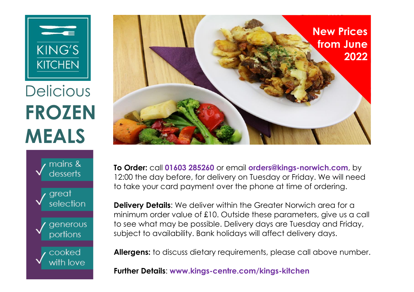

# **Delicious FROZEN MEALS**

mains & desserts great selection **aenerous** portions cooked with love



**To Order:** call **01603 285260** or email **orders@kings-norwich.com**, by 12:00 the day before, for delivery on Tuesday or Friday. We will need to take your card payment over the phone at time of ordering.

**Delivery Details**: We deliver within the Greater Norwich area for a minimum order value of £10. Outside these parameters, give us a call to see what may be possible. Delivery days are Tuesday and Friday, subject to availability. Bank holidays will affect delivery days.

**Allergens:** to discuss dietary requirements, please call above number.

**Further Details**: **www.kings-centre.com/kings-kitchen**